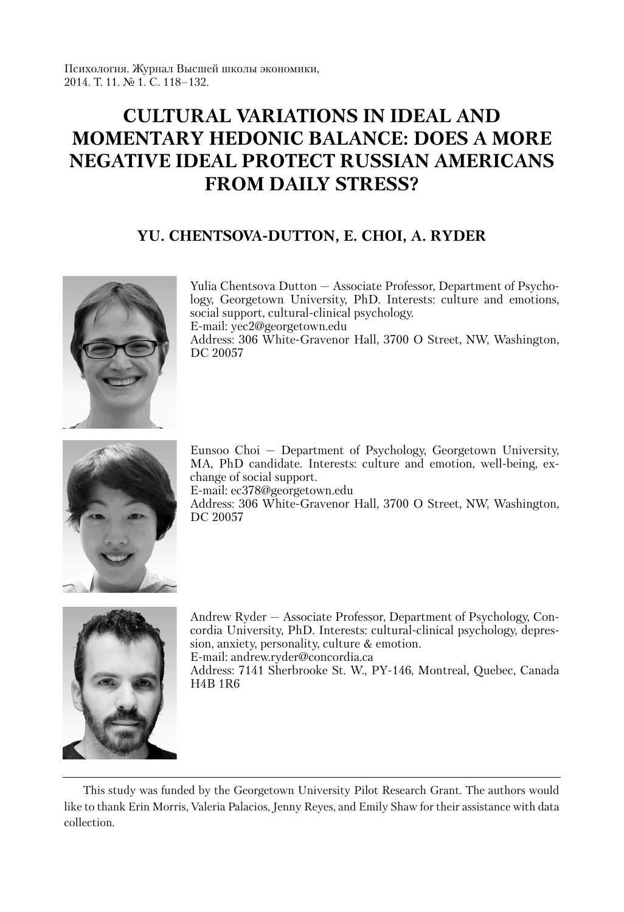# **CULTURAL VARIATIONS IN IDEAL AND MOMENTARY HEDONIC BALANCE: DOES A MORE NEGATIVE IDEAL PROTECT RUSSIAN AMERICANS FROM DAILY STRESS?**

# **YU. CHENTSOVA-DUTTON, E. CHOI, A. RYDER**



Yulia Chentsova Dutton - Associate Professor, Department of Psychology, Georgetown University, PhD. Interests: culture and emotions, social support, cultural-clinical psychology. E-mail: yec2@georgetown.edu

Address: 306 White-Gravenor Hall, 3700 O Street, NW, Washington, DC 20057



Eunsoo Choi — Department of Psychology, Georgetown University, MA, PhD candidate. Interests: culture and emotion, well-being, exchange of social support.

E-mail: ec378@georgetown.edu

Address: 306 White-Gravenor Hall, 3700 O Street, NW, Washington, DC 20057



Andrew Ryder — Associate Professor, Department of Psychology, Con cordia University, PhD. Interests: cultural-clinical psychology, depression, anxiety, personality, culture & emotion. E-mail: andrew.ryder@concordia.ca

Address: 7141 Sherbrooke St. W., PY-146, Montreal, Quebec, Canada H4B 1R6

This study was funded by the Georgetown University Pilot Research Grant. The authors would like to thank Erin Morris, Valeria Palacios, Jenny Reyes, and Emily Shaw for their assistance with data collection.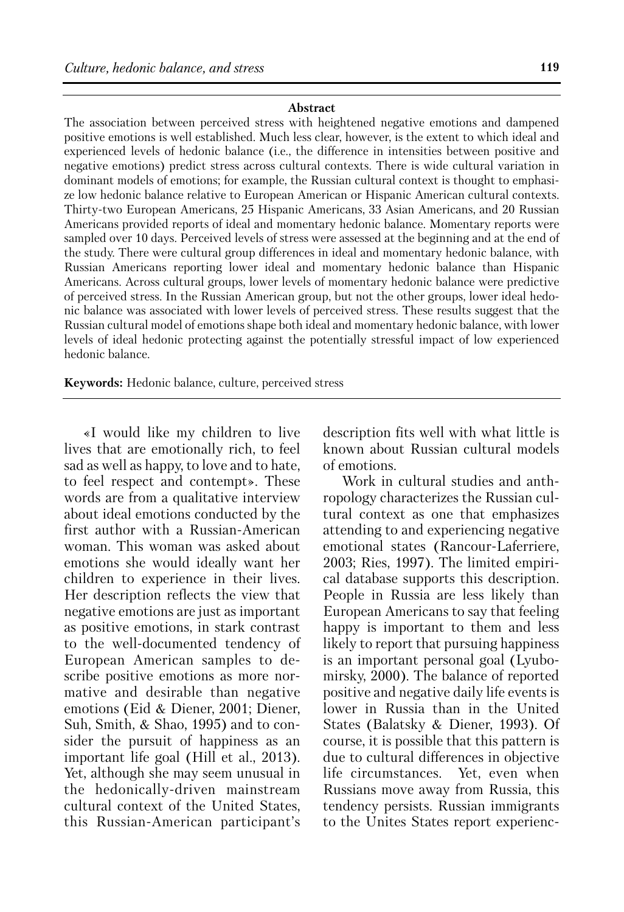#### **Abstract**

The association between perceived stress with heightened negative emotions and dampened positive emotions is well established. Much less clear, however, is the extent to which ideal and experienced levels of hedonic balance (i.e., the difference in intensities between positive and negative emotions) predict stress across cultural contexts. There is wide cultural variation in dominant models of emotions; for example, the Russian cultural context is thought to emphasize low hedonic balance relative to European American or Hispanic American cultural contexts. Thirty-two European Americans, 25 Hispanic Americans, 33 Asian Americans, and 20 Russian Americans provided reports of ideal and momentary hedonic balance. Momentary reports were sampled over 10 days. Perceived levels of stress were assessed at the beginning and at the end of the study. There were cultural group differences in ideal and momentary hedonic balance, with Russian Americans reporting lower ideal and momentary hedonic balance than Hispanic Americans. Across cultural groups, lower levels of momentary hedonic balance were predictive of perceived stress. In the Russian American group, but not the other groups, lower ideal hedonic balance was associated with lower levels of perceived stress. These results suggest that the Russian cultural model of emotions shape both ideal and momentary hedonic balance, with lower levels of ideal hedonic protecting against the potentially stressful impact of low experienced hedonic balance.

**Keywords:** Hedonic balance, culture, perceived stress

«I would like my children to live lives that are emotionally rich, to feel sad as well as happy, to love and to hate, to feel respect and contempt». These words are from a qualitative interview about ideal emotions conducted by the first author with a Russian-American woman. This woman was asked about emotions she would ideally want her children to experience in their lives. Her description reflects the view that negative emotions are just as important as positive emotions, in stark contrast to the well-documented tendency of European American samples to describe positive emotions as more normative and desirable than negative emotions (Eid & Diener, 2001; Diener, Suh, Smith, & Shao, 1995) and to consider the pursuit of happiness as an important life goal (Hill et al., 2013). Yet, although she may seem unusual in the hedonically-driven mainstream cultural context of the United States, this Russian-American participant's description fits well with what little is known about Russian cultural models of emotions.

Work in cultural studies and anthropology characterizes the Russian cultural context as one that emphasizes attending to and experiencing negative emotional states (Rancour-Laferriere, 2003; Ries, 1997). The limited empirical database supports this description. People in Russia are less likely than European Americans to say that feeling happy is important to them and less likely to report that pursuing happiness is an important personal goal (Lyubomirsky, 2000). The balance of reported positive and negative daily life events is lower in Russia than in the United States (Balatsky & Diener, 1993). Of course, it is possible that this pattern is due to cultural differences in objective life circumstances. Yet, even when Russians move away from Russia, this tendency persists. Russian immigrants to the Unites States report experienc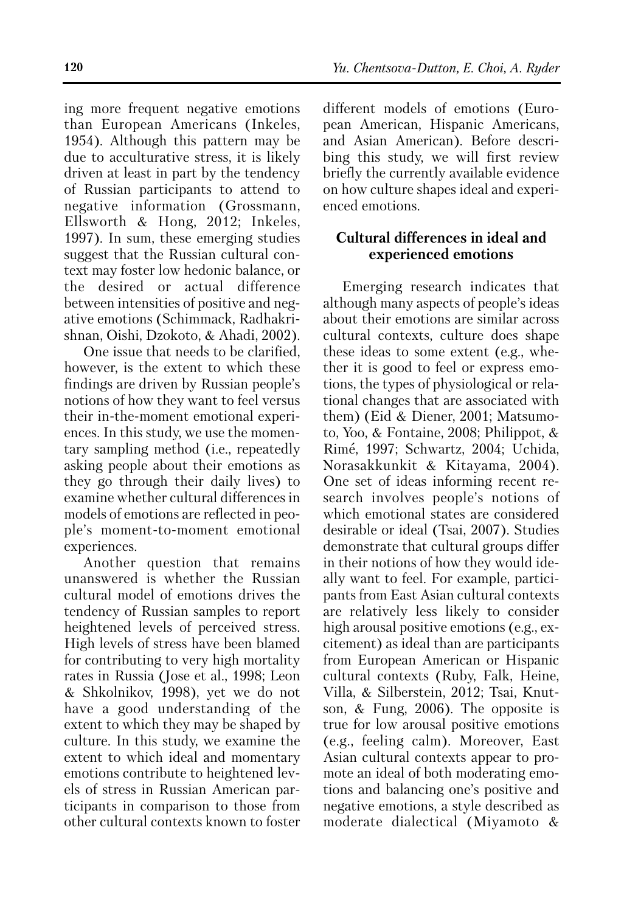ing more frequent negative emotions than European Americans (Inkeles, 1954). Although this pattern may be due to acculturative stress, it is likely driven at least in part by the tendency of Russian participants to attend to negative information (Grossmann, Ellsworth & Hong, 2012; Inkeles, 1997). In sum, these emerging studies suggest that the Russian cultural context may foster low hedonic balance, or the desired or actual difference between intensities of positive and negative emotions (Schimmack, Radhakri shnan, Oishi, Dzokoto, & Ahadi, 2002).

One issue that needs to be clarified, however, is the extent to which these findings are driven by Russian people's notions of how they want to feel versus their in-the-moment emotional experiences. In this study, we use the momentary sampling method (i.e., repeatedly asking people about their emotions as they go through their daily lives) to examine whether cultural differences in models of emotions are reflected in people's moment-to-moment emotional experiences.

Another question that remains unanswered is whether the Russian cultural model of emotions drives the tendency of Russian samples to report heightened levels of perceived stress. High levels of stress have been blamed for contributing to very high mortality rates in Russia (Jose et al., 1998; Leon & Shkolnikov, 1998), yet we do not have a good understanding of the extent to which they may be shaped by culture. In this study, we examine the extent to which ideal and momentary emotions contribute to heightened levels of stress in Russian American participants in comparison to those from other cultural contexts known to foster

different models of emotions (European American, Hispanic Americans, and Asian American). Before describing this study, we will first review briefly the currently available evidence on how culture shapes ideal and experienced emotions.

# **Cultural differences in ideal and experienced emotions**

Emerging research indicates that although many aspects of people's ideas about their emotions are similar across cultural contexts, culture does shape these ideas to some extent (e.g., whether it is good to feel or express emotions, the types of physiological or relational changes that are associated with them) (Eid & Diener, 2001; Matsumoto, Yoo, & Fontaine, 2008; Philippot, & Rimé, 1997; Schwartz, 2004; Uchida, Norasakkunkit & Kitayama, 2004). One set of ideas informing recent research involves people's notions of which emotional states are considered desirable or ideal (Tsai, 2007). Studies demonstrate that cultural groups differ in their notions of how they would ideally want to feel. For example, participants from East Asian cultural contexts are relatively less likely to consider high arousal positive emotions (e.g., excitement) as ideal than are participants from European American or Hispanic cultural contexts (Ruby, Falk, Heine, Villa, & Silberstein, 2012; Tsai, Knut son, & Fung, 2006). The opposite is true for low arousal positive emotions (e.g., feeling calm). Moreover, East Asian cultural contexts appear to promote an ideal of both moderating emotions and balancing one's positive and negative emotions, a style described as moderate dialectical (Miyamoto &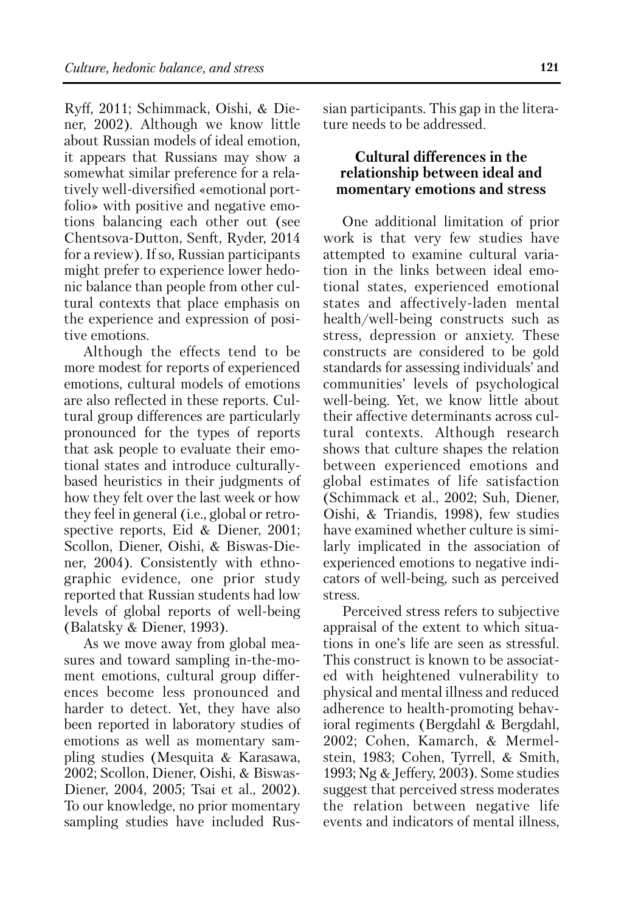Ryff, 2011; Schimmack, Oishi, & Die ner, 2002). Although we know little about Russian models of ideal emotion, it appears that Russians may show a somewhat similar preference for a relatively well-diversified «emotional portfolio» with positive and negative emotions balancing each other out (see Chentsova-Dutton, Senft, Ryder, 2014 for a review). If so, Russian participants might prefer to experience lower hedonic balance than people from other cultural contexts that place emphasis on the experience and expression of positive emotions.

Although the effects tend to be more modest for reports of experienced emotions, cultural models of emotions are also reflected in these reports. Cul tural group differences are particularly pronounced for the types of reports that ask people to evaluate their emotional states and introduce culturallybased heuristics in their judgments of how they felt over the last week or how they feel in general (i.e., global or retrospective reports, Eid & Diener, 2001; Scollon, Diener, Oishi, & Biswas-Die ner, 2004). Consistently with ethnographic evidence, one prior study reported that Russian students had low levels of global reports of well-being (Balatsky & Diener, 1993).

As we move away from global measures and toward sampling in-the-moment emotions, cultural group differences become less pronounced and harder to detect. Yet, they have also been reported in laboratory studies of emotions as well as momentary sampling studies (Mesquita & Karasawa, 2002; Scollon, Diener, Oishi, & Biswas-Diener, 2004, 2005; Tsai et al., 2002). To our knowledge, no prior momentary sampling studies have included Russian participants. This gap in the literature needs to be addressed.

# **Cultural differences in the relationship between ideal and momentary emotions and stress**

One additional limitation of prior work is that very few studies have attempted to examine cultural variation in the links between ideal emotional states, experienced emotional states and affectively-laden mental health/well-being constructs such as stress, depression or anxiety. These constructs are considered to be gold standards for assessing individuals' and communities' levels of psychological well-being. Yet, we know little about their affective determinants across cultural contexts. Although research shows that culture shapes the relation between experienced emotions and global estimates of life satisfaction (Schimmack et al., 2002; Suh, Diener, Oishi, & Triandis, 1998), few studies have examined whether culture is similarly implicated in the association of experienced emotions to negative indicators of well-being, such as perceived stress.

Perceived stress refers to subjective appraisal of the extent to which situations in one's life are seen as stressful. This construct is known to be associated with heightened vulnerability to phy sical and mental illness and reduced adherence to health-promoting behavioral regiments (Bergdahl & Bergdahl, 2002; Cohen, Kamarch, & Mermelstein, 1983; Cohen, Tyrrell, & Smith, 1993; Ng & Jeffery, 2003). Some studies suggest that perceived stress moderates the relation between negative life events and indicators of mental illness,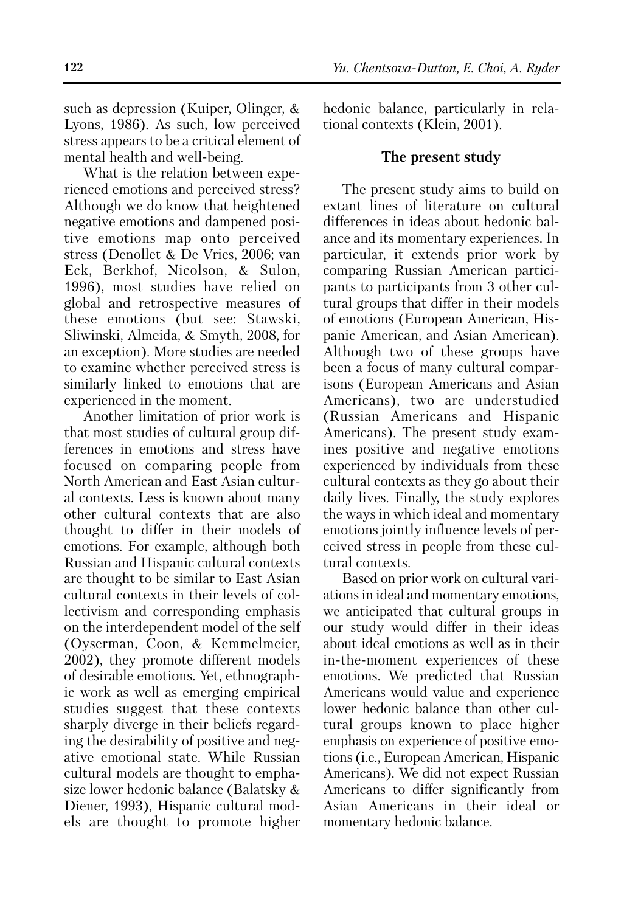such as depression (Kuiper, Olinger, & Lyons, 1986). As such, low perceived stress appears to be a critical element of mental health and well-being.

What is the relation between experienced emotions and perceived stress? Although we do know that heightened negative emotions and dampened positive emotions map onto perceived stress (Denollet & De Vries, 2006; van Eck, Berkhof, Nicolson, & Sulon, 1996), most studies have relied on global and retrospective measures of these emotions (but see: Stawski, Sliwinski, Almeida, & Smyth, 2008, for an exception). More studies are needed to examine whether perceived stress is similarly linked to emotions that are experienced in the moment.

Another limitation of prior work is that most studies of cultural group differences in emotions and stress have focused on comparing people from North American and East Asian cultural contexts. Less is known about many other cultural contexts that are also thought to differ in their models of emotions. For example, although both Russian and Hispanic cultural contexts are thought to be similar to East Asian cultural contexts in their levels of collectivism and corresponding emphasis on the interdependent model of the self (Oyserman, Coon, & Kemmelmeier, 2002), they promote different models of desirable emotions. Yet, ethnographic work as well as emerging empirical studies suggest that these contexts sharply diverge in their beliefs regarding the desirability of positive and negative emotional state. While Russian cultural models are thought to emphasize lower hedonic balance (Balatsky & Diener, 1993), Hispanic cultural models are thought to promote higher hedonic balance, particularly in relational contexts (Klein, 2001).

#### **The present study**

The present study aims to build on extant lines of literature on cultural differences in ideas about hedonic balance and its momentary experiences. In particular, it extends prior work by comparing Russian American participants to participants from 3 other cultural groups that differ in their models of emotions (European American, His panic American, and Asian American). Although two of these groups have been a focus of many cultural comparisons (European Americans and Asian Americans), two are understudied (Russian Americans and Hispanic Americans). The present study examines positive and negative emotions experienced by individuals from these cultural contexts as they go about their daily lives. Finally, the study explores the ways in which ideal and momentary emotions jointly influence levels of perceived stress in people from these cultural contexts.

Based on prior work on cultural variations in ideal and momentary emotions, we anticipated that cultural groups in our study would differ in their ideas about ideal emotions as well as in their in-the-moment experiences of these emotions. We predicted that Russian Americans would value and experience lower hedonic balance than other cultural groups known to place higher emphasis on experience of positive emotions (i.e., European American, Hispanic Americans). We did not expect Russian Americans to differ significantly from Asian Americans in their ideal or momentary hedonic balance.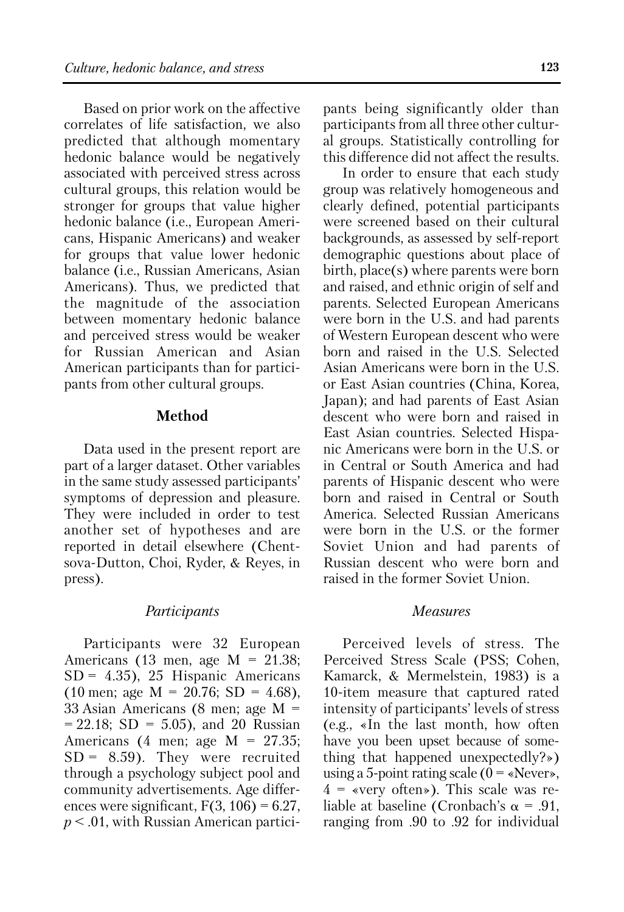Based on prior work on the affective correlates of life satisfaction, we also predicted that although momentary hedonic balance would be negatively associated with perceived stress across cultural groups, this relation would be stronger for groups that value higher hedonic balance (i.e., European Americans, Hispanic Americans) and weaker for groups that value lower hedonic balance (i.e., Russian Americans, Asian Americans). Thus, we predicted that the magnitude of the association between momentary hedonic balance and perceived stress would be weaker for Russian American and Asian American participants than for participants from other cultural groups.

# **Method**

Data used in the present report are part of a larger dataset. Other variables in the same study assessed participants' symptoms of depression and pleasure. They were included in order to test ano ther set of hypotheses and are reported in detail elsewhere (Chentsova-Dutton, Choi, Ryder, & Reyes, in press).

### *Participants*

Participants were 32 European Americans (13 men, age  $M = 21.38$ ;  $SD = 4.35$ , 25 Hispanic Americans  $(10 \text{ men}; \text{ age } M = 20.76; SD = 4.68),$ 33 Asian Americans (8 men; age M =  $= 22.18$ ; SD  $= 5.05$ ), and 20 Russian Americans (4 men; age  $M = 27.35$ ;  $SD = 8.59$ . They were recruited through a psychology subject pool and community advertisements. Age differences were significant,  $F(3, 106) = 6.27$ ,  $p < .01$ , with Russian American participants being significantly older than participants from all three other cultural groups. Statistically controlling for this difference did not affect the results.

In order to ensure that each study group was relatively homogeneous and clearly defined, potential participants were screened based on their cultural backgrounds, as assessed by self-report demographic questions about place of birth, place(s) where parents were born and raised, and ethnic origin of self and parents. Selected European Americans were born in the U.S. and had parents of Western European descent who were born and raised in the U.S. Selected Asian Americans were born in the U.S. or East Asian countries (China, Korea, Japan); and had parents of East Asian descent who were born and raised in East Asian countries. Selected Hispanic Americans were born in the U.S. or in Central or South America and had parents of Hispanic descent who were born and raised in Central or South America. Selected Russian Americans were born in the U.S. or the former Soviet Union and had parents of Russian descent who were born and raised in the former Soviet Union.

#### *Measures*

Perceived levels of stress. The Perceived Stress Scale (PSS; Cohen, Kamarck, & Mermelstein, 1983) is a 10-item measure that captured rated intensity of participants' levels of stress (e.g., «In the last month, how often have you been upset because of something that happened unexpectedly?») using a 5-point rating scale  $(0 = \text{«Never»,}$  $4 =$  «very often»). This scale was reliable at baseline (Cronbach's  $\alpha = .91$ , ranging from .90 to .92 for individual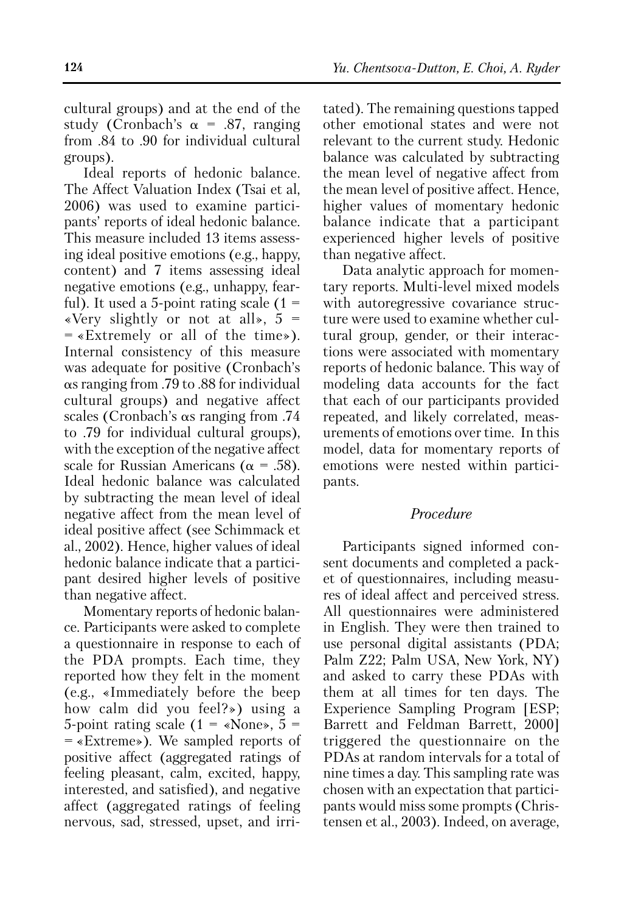cultural groups) and at the end of the study (Cronbach's  $\alpha$  = .87, ranging from .84 to .90 for individual cultural groups).

Ideal reports of hedonic balance. The Affect Valuation Index (Tsai et al, 2006) was used to examine participants' reports of ideal hedonic balance. This measure included 13 items assessing ideal positive emotions (e.g., happy, content) and 7 items assessing ideal negative emotions (e.g., unhappy, fearful). It used a 5-point rating scale  $(1 =$ \*Very slightly or not at all  $\ge$ , 5 = = «Extremely or all of the time»). Internal consistency of this measure was adequate for positive (Cronbach's  $\alpha$ s ranging from .79 to .88 for individual cultural groups) and negative affect scales (Cronbach's  $\alpha$ s ranging from .74 to .79 for individual cultural groups), with the exception of the negative affect scale for Russian Americans ( $\alpha$  = .58). Ideal hedonic balance was calculated by subtracting the mean level of ideal negative affect from the mean level of ideal positive affect (see Schimmack et al., 2002). Hence, higher values of ideal hedonic balance indicate that a participant desired higher levels of positive than negative affect.

Momentary reports of hedonic balance. Participants were asked to complete a questionnaire in response to each of the PDA prompts. Each time, they reported how they felt in the moment (e.g., «Immediately before the beep how calm did you feel?») using a 5-point rating scale  $(1 - \kappa \text{None}_2, 5 - \text{None}_3)$ = «Extreme»). We sampled reports of positive affect (aggregated ratings of feeling pleasant, calm, excited, happy, interested, and satisfied), and negative affect (aggregated ratings of feeling nervous, sad, stressed, upset, and irritated). The remaining questions tapped other emotional states and were not relevant to the current study. Hedonic balance was calculated by subtracting the mean level of negative affect from the mean level of positive affect. Hence, higher values of momentary hedonic balance indicate that a participant experienced higher levels of positive than negative affect.

Data analytic approach for momentary reports. Multi-level mixed models with autoregressive covariance structure were used to examine whether cultural group, gender, or their interactions were associated with momentary reports of hedonic balance. This way of modeling data accounts for the fact that each of our participants provided repeated, and likely correlated, measurements of emotions over time. In this model, data for momentary reports of emotions were nested within participants.

## *Procedure*

Participants signed informed consent documents and completed a packet of questionnaires, including measu res of ideal affect and perceived stress. All questionnaires were administered in English. They were then trained to use personal digital assistants (PDA; Palm Z22; Palm USA, New York, NY) and asked to carry these PDAs with them at all times for ten days. The Experience Sampling Program [ESP; Barrett and Feldman Barrett, 2000] triggered the questionnaire on the PDAs at random intervals for a total of nine times a day. This sampling rate was chosen with an expectation that partici pants would miss some prompts (Christensen et al., 2003). Indeed, on average,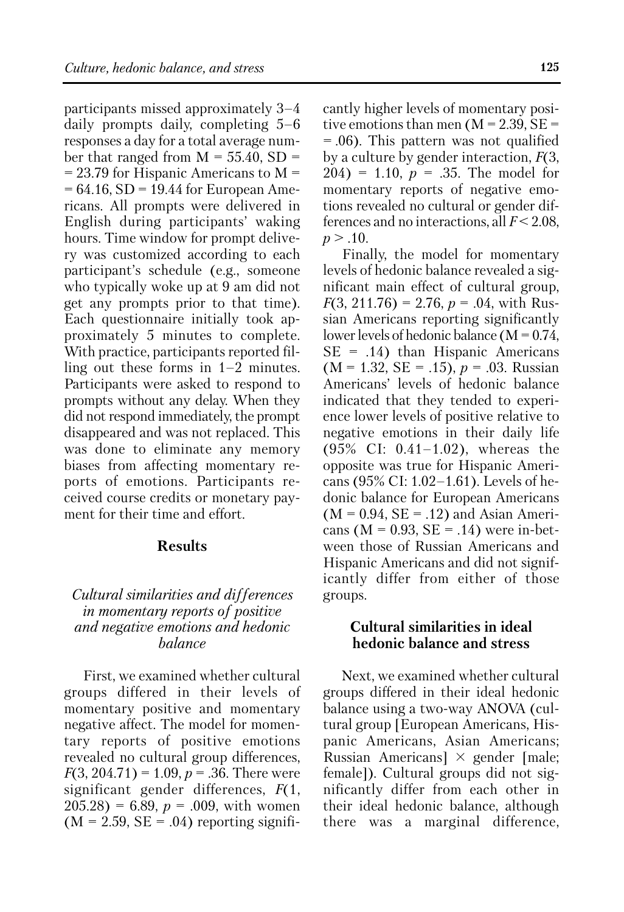participants missed approximately 3–4 daily prompts daily, completing 5–6 responses a day for a total average number that ranged from  $M = 55.40$ , SD =  $= 23.79$  for Hispanic Americans to M  $=$  $= 64.16$ , SD  $= 19.44$  for European Americans. All prompts were delivered in English during participants' waking hours. Time window for prompt delivery was customized according to each participant's schedule (e.g., someone who typically woke up at 9 am did not get any prompts prior to that time). Each questionnaire initially took approximately 5 minutes to complete. With practice, participants reported filling out these forms in 1–2 minutes. Participants were asked to respond to prompts without any delay. When they did not respond immediately, the prompt disappeared and was not replaced. This was done to eliminate any memory biases from affecting momentary reports of emotions. Participants received course credits or monetary payment for their time and effort.

## **Results**

## *Cultural similarities and differences in momentary reports of positive and negative emotions and hedonic balance*

First, we examined whether cultural groups differed in their levels of momentary positive and momentary negative affect. The model for momentary reports of positive emotions revealed no cultural group differences,  $F(3, 204.71) = 1.09, p = .36$ . There were significant gender differences, *F*(1,  $205.28$ ) = 6.89,  $p = .009$ , with women  $(M = 2.59, SE = .04)$  reporting significantly higher levels of momentary posi tive emotions than men  $(M = 2.39, SE =$ = .06). This pattern was not qualified by a culture by gender interaction, *F*(3, 204) = 1.10, *p* = .35. The model for momentary reports of negative emotions revealed no cultural or gender differences and no interactions, all *F* < 2.08,  $p > .10$ .

Finally, the model for momentary levels of hedonic balance revealed a significant main effect of cultural group,  $F(3, 211.76) = 2.76$ ,  $p = .04$ , with Russian Americans reporting significantly lower levels of hedonic balance ( $M = 0.74$ ,  $SE = .14$ ) than Hispanic Americans  $(M = 1.32, SE = .15), p = .03$ . Russian Americans' levels of hedonic balance indicated that they tended to experience lower levels of positive relative to negative emotions in their daily life (95% CI: 0.41–1.02), whereas the opposite was true for Hispanic Americans (95% CI: 1.02–1.61). Levels of he donic balance for European Americans  $(M = 0.94, SE = .12)$  and Asian Americans ( $M = 0.93$ ,  $SE = .14$ ) were in-between those of Russian Americans and Hispanic Americans and did not significantly differ from either of those groups.

# **Cultural similarities in ideal hedonic balance and stress**

Next, we examined whether cultural groups differed in their ideal hedonic balance using a two-way ANOVA (cultural group [European Americans, Hispanic Americans, Asian Americans; Russian Americans]  $\times$  gender [male; female]). Cultural groups did not significantly differ from each other in their ideal hedonic balance, although there was a marginal difference,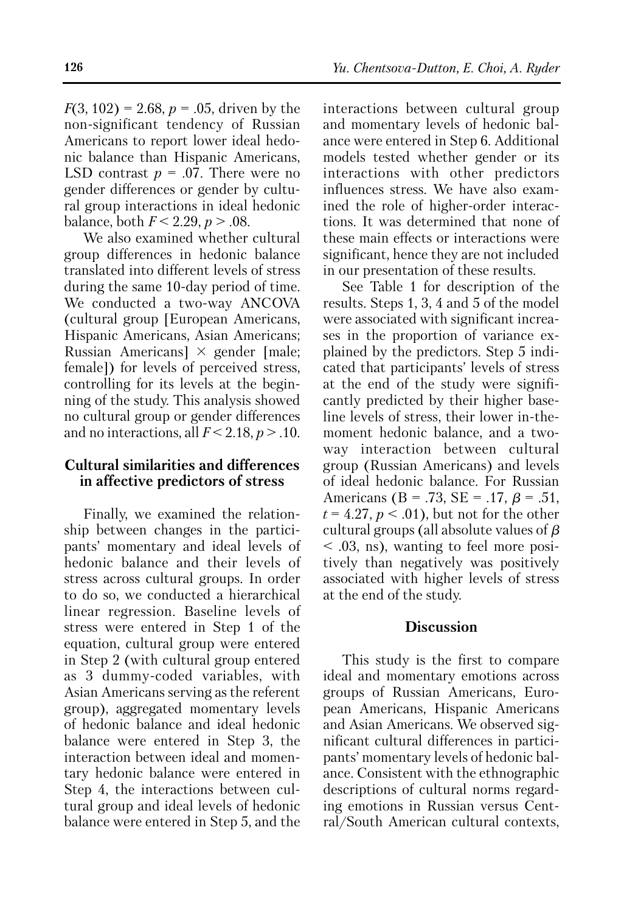$F(3, 102) = 2.68, p = .05$ , driven by the non-significant tendency of Russian Americans to report lower ideal hedonic balance than Hispanic Americans, LSD contrast  $p = .07$ . There were no gender differences or gender by cultural group interactions in ideal hedonic balance, both  $F < 2.29$ ,  $p > .08$ .

We also examined whether cultural group differences in hedonic balance translated into different levels of stress during the same 10-day period of time. We conducted a two-way ANCOVA (cultural group [European Americans, Hispanic Americans, Asian Americans; Russian Americans]  $\times$  gender [male; female]) for levels of perceived stress, controlling for its levels at the beginning of the study. This analysis showed no cultural group or gender differences and no interactions, all  $F < 2.18$ ,  $p > .10$ .

# **Cultural similarities and differences in affective predictors of stress**

Finally, we examined the relationship between changes in the participants' momentary and ideal levels of hedonic balance and their levels of stress across cultural groups. In order to do so, we conducted a hierarchical linear regression. Baseline levels of stress were entered in Step 1 of the equation, cultural group were entered in Step 2 (with cultural group entered as 3 dummy-coded variables, with Asian Americans serving as the referent group), aggregated momentary levels of hedonic balance and ideal hedonic balance were entered in Step 3, the interaction between ideal and momentary hedonic balance were entered in Step 4, the interactions between cultural group and ideal levels of hedonic balance were entered in Step 5, and the

interactions between cultural group and momentary levels of hedonic balance were entered in Step 6. Additional models tested whether gender or its interactions with other predictors influences stress. We have also examined the role of higher-order interactions. It was determined that none of these main effects or interactions were significant, hence they are not included in our presentation of these results.

See Table 1 for description of the results. Steps 1, 3, 4 and 5 of the model were associated with significant increa ses in the proportion of variance explained by the predictors. Step 5 indicated that participants' levels of stress at the end of the study were significantly predicted by their higher baseline levels of stress, their lower in-themoment hedonic balance, and a twoway interaction between cultural group (Russian Americans) and levels of ideal hedonic balance. For Russian Americans (B = .73, SE = .17,  $\beta$  = .51,  $t = 4.27, p < .01$ , but not for the other cultural groups (all absolute values of  $\beta$ < .03, ns), wanting to feel more positively than negatively was positively associated with higher levels of stress at the end of the study.

### **Discussion**

This study is the first to compare ideal and momentary emotions across groups of Russian Americans, European Americans, Hispanic Americans and Asian Americans. We observed significant cultural differences in participants' momentary levels of hedonic balance. Consistent with the ethnographic descriptions of cultural norms regarding emotions in Russian versus Central/South American cultural contexts,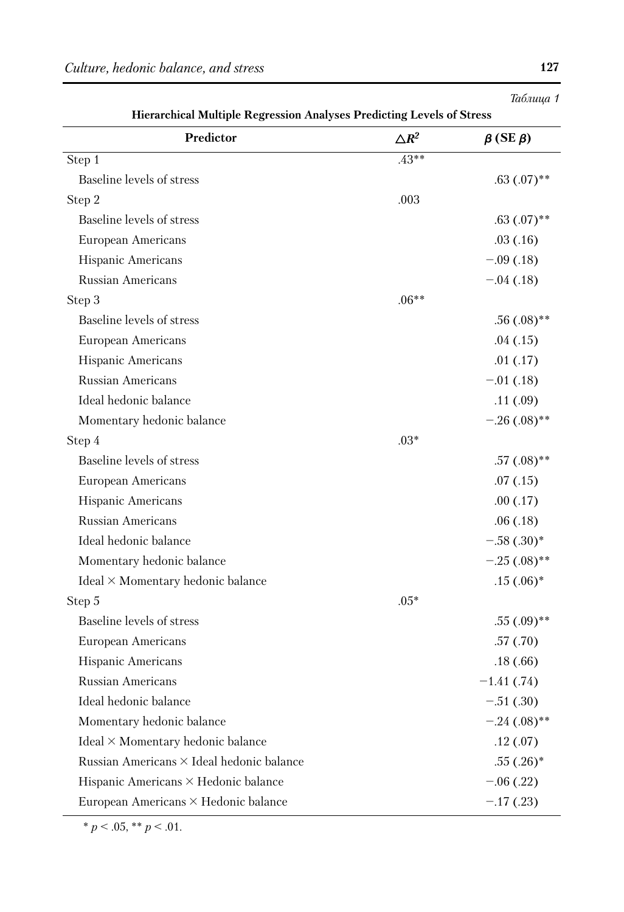| Predictor                                        | $\triangle R^2$ | $\beta$ (SE $\beta$ ) |
|--------------------------------------------------|-----------------|-----------------------|
| Step 1                                           | $.43***$        |                       |
| Baseline levels of stress                        |                 | $.63(.07)**$          |
| Step 2                                           | .003            |                       |
| Baseline levels of stress                        |                 | $.63(.07)$ **         |
| European Americans                               |                 | .03(0.16)             |
| Hispanic Americans                               |                 | $-.09(.18)$           |
| <b>Russian Americans</b>                         |                 | $-.04$ (.18)          |
| Step 3                                           | $.06**$         |                       |
| Baseline levels of stress                        |                 | $.56(.08)$ **         |
| European Americans                               |                 | .04(.15)              |
| Hispanic Americans                               |                 | .01(.17)              |
| <b>Russian Americans</b>                         |                 | $-.01$ (.18)          |
| Ideal hedonic balance                            |                 | .11(0.9)              |
| Momentary hedonic balance                        |                 | $-.26(.08)$ **        |
| Step 4                                           | $.03*$          |                       |
| Baseline levels of stress                        |                 | $.57(.08)$ **         |
| European Americans                               |                 | .07(0.15)             |
| Hispanic Americans                               |                 | .00(0.17)             |
| <b>Russian Americans</b>                         |                 | .06(.18)              |
| Ideal hedonic balance                            |                 | $-.58(.30)*$          |
| Momentary hedonic balance                        |                 | $-.25(.08)$ **        |
| Ideal $\times$ Momentary hedonic balance         |                 | $.15(.06)^*$          |
| Step 5                                           | $.05*$          |                       |
| Baseline levels of stress                        |                 | $.55(.09)$ **         |
| European Americans                               |                 | .57(.70)              |
| Hispanic Americans                               |                 | .18(.66)              |
| <b>Russian Americans</b>                         |                 | $-1.41(0.74)$         |
| Ideal hedonic balance                            |                 | $-.51(.30)$           |
| Momentary hedonic balance                        |                 | $-.24(.08)$ **        |
| Ideal × Momentary hedonic balance                |                 | .12(.07)              |
| Russian Americans $\times$ Ideal hedonic balance |                 | $.55(.26)$ *          |
| Hispanic Americans $\times$ Hedonic balance      |                 | $-.06(.22)$           |
| European Americans $\times$ Hedonic balance      |                 | $-.17(.23)$           |

**Hierarchical Multiple Regression Analyses Predicting Levels of Stress**

 $* p < .05, ** p < .01.$ 

*Таблица 1*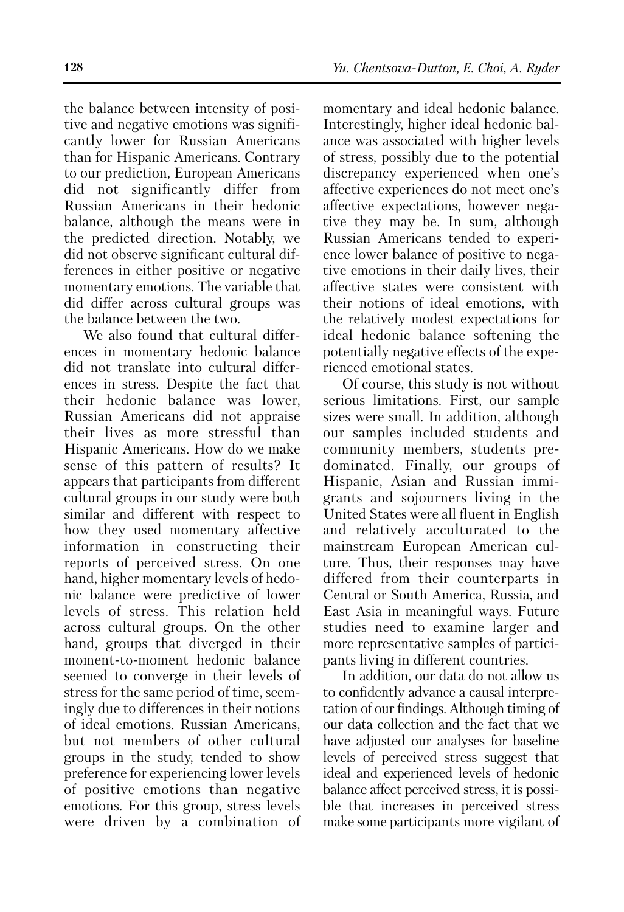**128** *Yu. Chentsova-Dutton, E. Choi, A. Ryder*

the balance between intensity of positive and negative emotions was significantly lower for Russian Americans than for Hispanic Americans. Contrary to our prediction, European Americans did not significantly differ from Russian Americans in their hedonic balance, although the means were in the predicted direction. Notably, we did not observe significant cultural differences in either positive or negative momentary emotions. The variable that did differ across cultural groups was the balance between the two.

We also found that cultural differences in momentary hedonic balance did not translate into cultural differences in stress. Despite the fact that their hedonic balance was lower, Russian Americans did not appraise their lives as more stressful than Hispanic Americans. How do we make sense of this pattern of results? It appears that participants from different cultural groups in our study were both similar and different with respect to how they used momentary affective information in constructing their reports of perceived stress. On one hand, higher momentary levels of hedonic balance were predictive of lower levels of stress. This relation held across cultural groups. On the other hand, groups that diverged in their moment-to-moment hedonic balance seemed to converge in their levels of stress for the same period of time, seemingly due to differences in their notions of ideal emotions. Russian Americans, but not members of other cultural groups in the study, tended to show preference for experiencing lower levels of positive emotions than negative emotions. For this group, stress levels were driven by a combination of momentary and ideal hedonic balance. Interestingly, higher ideal hedonic balance was associated with higher levels of stress, possibly due to the potential discrepancy experienced when one's affective experiences do not meet one's affective expectations, however negative they may be. In sum, although Russian Americans tended to experience lower balance of positive to negative emotions in their daily lives, their affective states were consistent with their notions of ideal emotions, with the relatively modest expectations for ideal hedonic balance softening the potentially negative effects of the experienced emotional states.

Of course, this study is not without serious limitations. First, our sample sizes were small. In addition, although our samples included students and community members, students predominated. Finally, our groups of Hispanic, Asian and Russian immigrants and sojourners living in the United States were all fluent in English and relatively acculturated to the mainstream European American culture. Thus, their responses may have differed from their counterparts in Central or South America, Russia, and East Asia in meaningful ways. Future studies need to examine larger and more representative samples of participants living in different countries.

In addition, our data do not allow us to confidently advance a causal interpretation of our findings. Although timing of our data collection and the fact that we have adjusted our analyses for baseline levels of perceived stress suggest that ideal and experienced levels of hedonic balance affect perceived stress, it is possible that increases in perceived stress make some participants more vigilant of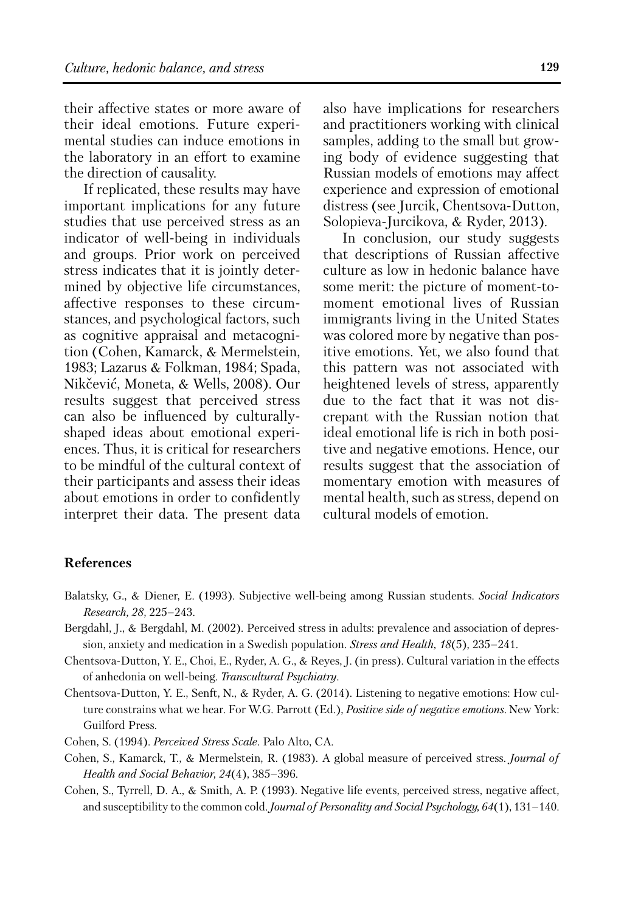their affective states or more aware of their ideal emotions. Future experimental studies can induce emotions in the laboratory in an effort to examine the direction of causality.

If replicated, these results may have important implications for any future studies that use perceived stress as an indicator of well-being in individuals and groups. Prior work on perceived stress indicates that it is jointly determined by objective life circumstances, affective responses to these circumstances, and psychological factors, such as cognitive appraisal and metacognition (Cohen, Kamarck, & Mermelstein, 1983; Lazarus & Folkman, 1984; Spada, Nikčević, Moneta, & Wells, 2008). Our results suggest that perceived stress can also be influenced by culturallyshaped ideas about emotional experiences. Thus, it is critical for researchers to be mindful of the cultural context of their participants and assess their ideas about emotions in order to confidently interpret their data. The present data also have implications for researchers and practitioners working with clinical samples, adding to the small but growing body of evidence suggesting that Russian models of emotions may affect experience and expression of emotional distress (see Jurcik, Chentsova-Dutton, Solopieva-Jurcikova, & Ryder, 2013).

In conclusion, our study suggests that descriptions of Russian affective culture as low in hedonic balance have some merit: the picture of moment-tomoment emotional lives of Russian immigrants living in the United States was colored more by negative than positive emotions. Yet, we also found that this pattern was not associated with heightened levels of stress, apparently due to the fact that it was not discrepant with the Russian notion that ideal emotional life is rich in both positive and negative emotions. Hence, our results suggest that the association of momentary emotion with measures of mental health, such as stress, depend on cultural models of emotion.

## **References**

- Balatsky, G., & Diener, E. (1993). Subjective well-being among Russian students. *Social Indicators Research, 28*, 225–243.
- Bergdahl, J., & Bergdahl, M. (2002). Perceived stress in adults: prevalence and association of depression, anxiety and medication in a Swedish population. *Stress and Health, 18*(5), 235–241.
- Chentsova-Dutton, Y. E., Choi, E., Ryder, A. G., & Reyes, J. (in press). Cultural variation in the effects of anhedonia on well-being. *Transcultural Psychiatry*.
- Chentsova-Dutton, Y. E., Senft, N., & Ryder, A. G. (2014). Listening to negative emotions: How culture constrains what we hear. For W.G. Parrott (Ed.), *Positive side of negative emotions*. New York: Guilford Press.
- Cohen, S. (1994). *Perceived Stress Scale*. Palo Alto, CA.
- Cohen, S., Kamarck, T., & Mermelstein, R. (1983). A global measure of perceived stress. *Journal of Health and Social Behavior, 24*(4), 385–396.
- Cohen, S., Tyrrell, D. A., & Smith, A. P. (1993). Negative life events, perceived stress, negative affect, and susceptibility to the common cold. *Journal of Personality and Social Psychology, 64*(1), 131–140.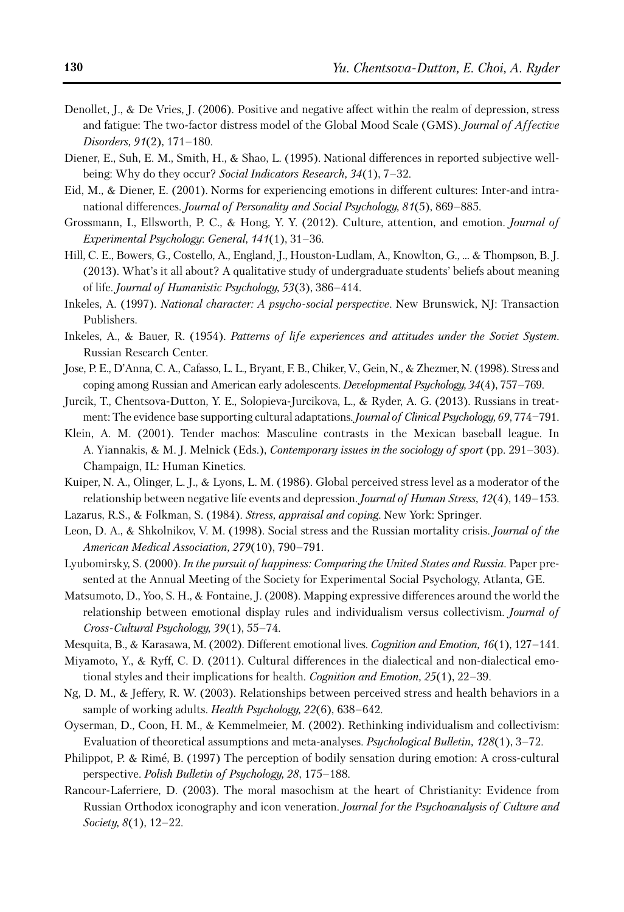- Denollet, J., & De Vries, J. (2006). Positive and negative affect within the realm of depression, stress and fatigue: The two-factor distress model of the Global Mood Scale (GMS). *Journal of Affective Disorders, 91*(2), 171–180.
- Diener, E., Suh, E. M., Smith, H., & Shao, L. (1995). National differences in reported subjective wellbeing: Why do they occur? *Social Indicators Research, 34*(1), 7–32.
- Eid, M., & Diener, E. (2001). Norms for experiencing emotions in different cultures: Inter-and intranational differences. *Journal of Personality and Social Psychology, 81*(5), 869–885.
- Grossmann, I., Ellsworth, P. C., & Hong, Y. Y. (2012). Culture, attention, and emotion. *Journal of Experimental Psychology*: *General*, *141*(1), 31–36.
- Hill, C. E., Bowers, G., Costello, A., England, J., Houston-Ludlam, A., Knowlton, G., ... & Thompson, B. J. (2013). What's it all about? A qualitative study of undergraduate students' beliefs about meaning of life. *Journal of Humanistic Psychology, 53*(3), 386–414.
- Inkeles, A. (1997). *National character: A psycho-social perspective.* New Brunswick, NJ: Transaction Publishers.
- Inkeles, A., & Bauer, R. (1954). *Patterns of life experiences and attitudes under the Soviet System.* Russian Research Center.
- Jose, P. E., D'Anna, C. A., Cafasso, L. L., Bryant, F. B., Chiker, V., Gein, N., & Zhezmer, N. (1998). Stress and coping among Russian and American early adolescents. *Developmental Psychology, 34*(4), 757–769.
- Jurcik, T., Chentsova-Dutton, Y. E., Solopieva-Jurcikova, L., & Ryder, A. G. (2013). Russians in treatment: The evidence base supporting cultural adaptations. *Journal of Clinical Psychology, 69*, 774–791.
- Klein, A. M. (2001). Tender machos: Masculine contrasts in the Mexican baseball league. In A. Yiannakis, & M. J. Melnick (Eds.), *Contemporary issues in the sociology of sport* (pp. 291–303). Champaign, IL: Human Kinetics.
- Kuiper, N. A., Olinger, L. J., & Lyons, L. M. (1986). Global perceived stress level as a moderator of the relationship between negative life events and depression. *Journal of Human Stress, 12*(4), 149–153.
- Lazarus, R.S., & Folkman, S. (1984). *Stress, appraisal and coping.* New York: Springer.
- Leon, D. A., & Shkolnikov, V. M. (1998). Social stress and the Russian mortality crisis. *Journal of the American Medical Association, 279*(10), 790–791.
- Lyubomirsky, S. (2000). *In the pursuit of happiness: Comparing the United States and Russia*. Paper presented at the Annual Meeting of the Society for Experimental Social Psychology, Atlanta, GE.
- Matsumoto, D., Yoo, S. H., & Fontaine, J. (2008). Mapping expressive differences around the world the relationship between emotional display rules and individualism versus collectivism. *Journal of Cross-Cultural Psychology, 39*(1), 55–74.
- Mesquita, B., & Karasawa, M. (2002). Different emotional lives. *Cognition and Emotion, 16*(1), 127–141.
- Miyamoto, Y., & Ryff, C. D. (2011). Cultural differences in the dialectical and non-dialectical emotional styles and their implications for health. *Cognition and Emotion, 25*(1), 22–39.
- Ng, D. M., & Jeffery, R. W. (2003). Relationships between perceived stress and health behaviors in a sample of working adults. *Health Psychology, 22*(6), 638–642.
- Oyserman, D., Coon, H. M., & Kemmelmeier, M. (2002). Rethinking individualism and collectivism: Evaluation of theoretical assumptions and meta-analyses. *Psychological Bulletin, 128*(1), 3–72.
- Philippot, P. & Rimé, B. (1997) The perception of bodily sensation during emotion: A cross-cultural perspective. *Polish Bulletin of Psychology, 28*, 175–188.
- Rancour-Laferriere, D. (2003). The moral masochism at the heart of Christianity: Evidence from Russian Orthodox iconography and icon veneration. *Journal for the Psychoanalysis of Culture and Society, 8*(1), 12–22.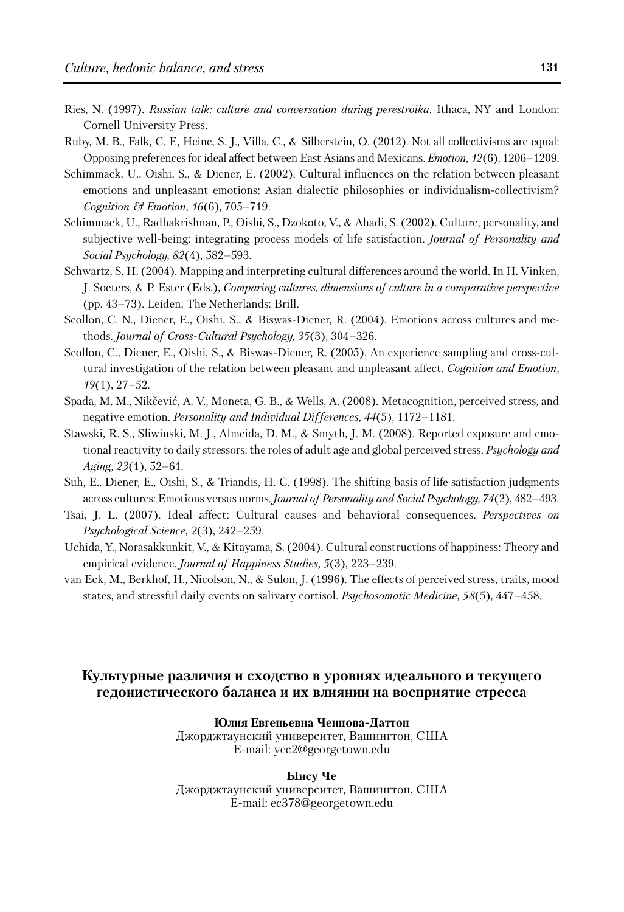- Ries, N. (1997). *Russian talk: culture and conversation during perestroika.* Ithaca, NY and London: Cornell University Press.
- Ruby, M. B., Falk, C. F., Heine, S. J., Villa, C., & Silberstein, O. (2012). Not all collectivisms are equal: Opposing preferences for ideal affect between East Asians and Mexicans. *Emotion, 12*(6), 1206–1209.
- Schimmack, U., Oishi, S., & Diener, E. (2002). Cultural influences on the relation between pleasant emotions and unpleasant emotions: Asian dialectic philosophies or individualism-collectivism? *Cognition & Emotion, 16*(6), 705–719.
- Schimmack, U., Radhakrishnan, P., Oishi, S., Dzokoto, V., & Ahadi, S. (2002). Culture, personality, and subjective well-being: integrating process models of life satisfaction. *Journal of Personality and Social Psychology, 82*(4), 582–593.
- Schwartz, S. H. (2004). Mapping and interpreting cultural differences around the world. In H. Vinken, J. Soeters, & P. Ester (Eds.), *Comparing cultures, dimensions of culture in a comparative perspective* (pp. 43–73). Leiden, The Netherlands: Brill.
- Scollon, C. N., Diener, E., Oishi, S., & Biswas-Diener, R. (2004). Emotions across cultures and me thods. *Journal of Cross-Cultural Psychology, 35*(3), 304–326.
- Scollon, C., Diener, E., Oishi, S., & Biswas-Diener, R. (2005). An experience sampling and cross-cultural investigation of the relation between pleasant and unpleasant affect. *Cognition and Emotion, 19*(1), 27–52.
- Spada, M. M., Nikčević, A. V., Moneta, G. B., & Wells, A. (2008). Metacognition, perceived stress, and negative emotion. *Personality and Individual Differences, 44*(5), 1172–1181.
- Stawski, R. S., Sliwinski, M. J., Almeida, D. M., & Smyth, J. M. (2008). Reported exposure and emotional reactivity to daily stressors: the roles of adult age and global perceived stress. *Psychology and Aging, 23*(1), 52–61.
- Suh, E., Diener, E., Oishi, S., & Triandis, H. C. (1998). The shifting basis of life satisfaction judgments across cultures: Emotions versus norms. *Journal of Personality and Social Psychology, 74*(2), 482–493.
- Tsai, J. L. (2007). Ideal affect: Cultural causes and behavioral consequences. *Perspectives on Psychological Science, 2*(3), 242–259.
- Uchida, Y., Norasakkunkit, V., & Kitayama, S. (2004). Cultural constructions of happiness: Theory and empirical evidence. *Journal of Happiness Studies, 5*(3), 223–239.
- van Eck, M., Berkhof, H., Nicolson, N., & Sulon, J. (1996). The effects of perceived stress, traits, mood states, and stressful daily events on salivary cortisol. *Psychosomatic Medicine, 58*(5), 447–458.

## **Культурные различия и сходство в уровнях идеального и текущего гедонистического баланса и их влиянии на восприятие стресса**

#### **Юлия Евгеньевна Ченцова-Даттон**

Джорджтаунский университет, Вашингтон, США E-mail: yec2@georgetown.edu

#### **Ынсу Че**

Джорджтаунский университет, Вашингтон, США E-mail: ec378@georgetown.edu